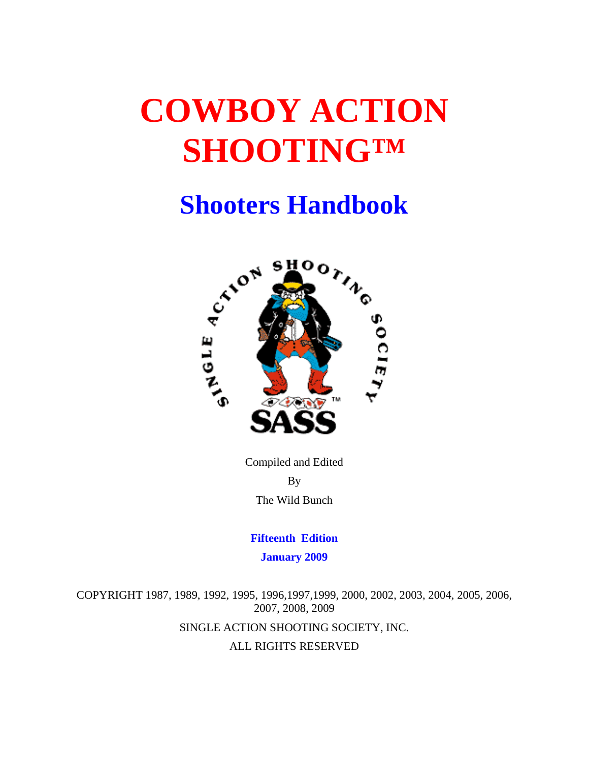# **COWBOY ACTION SHOOTING™**

## **Shooters Handbook**



Compiled and Edited By The Wild Bunch

**Fifteenth Edition January 2009** 

COPYRIGHT 1987, 1989, 1992, 1995, 1996,1997,1999, 2000, 2002, 2003, 2004, 2005, 2006, 2007, 2008, 2009 SINGLE ACTION SHOOTING SOCIETY, INC. ALL RIGHTS RESERVED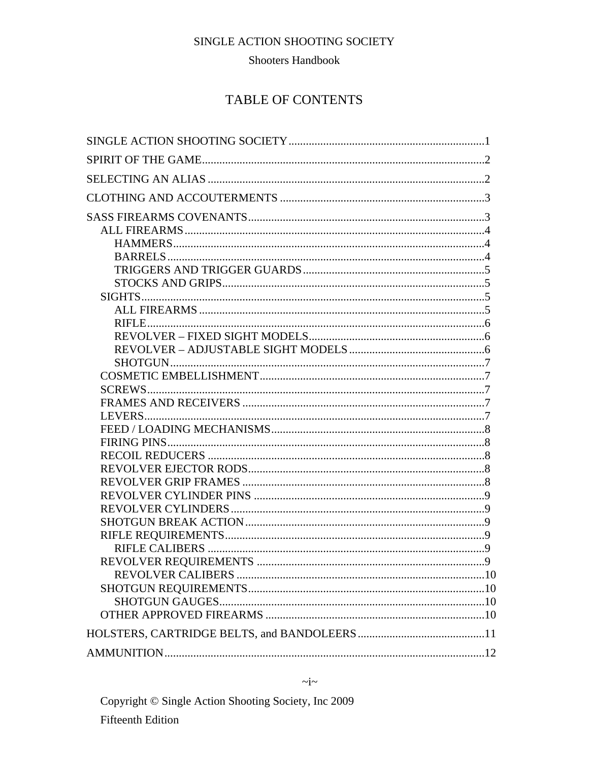#### **Shooters Handbook**

## **TABLE OF CONTENTS**

#### $\sim i \sim$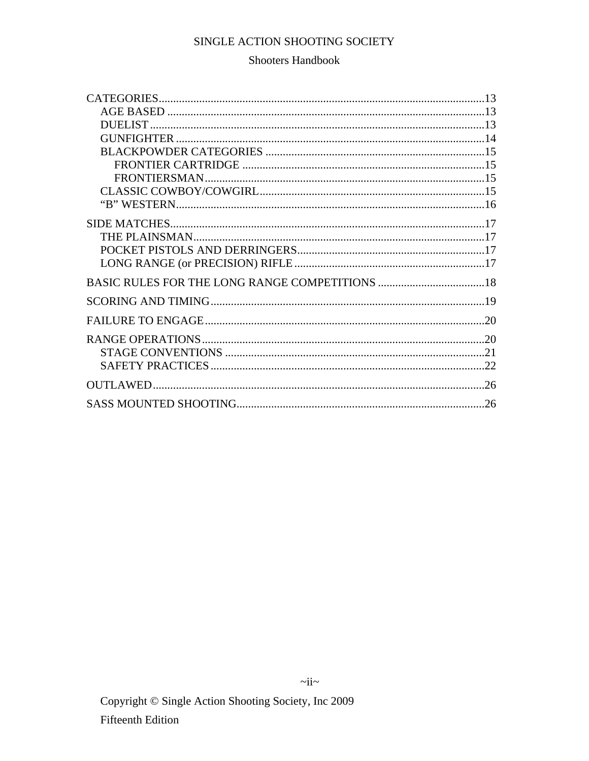## **Shooters Handbook**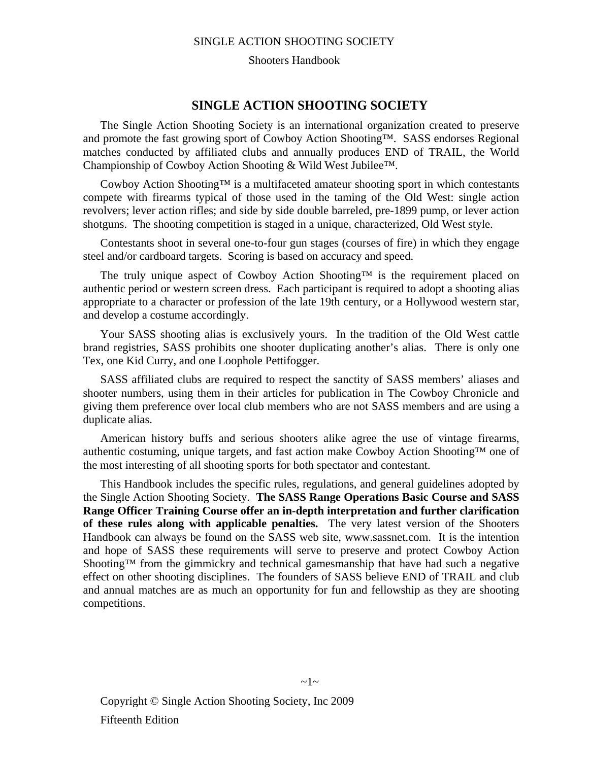Shooters Handbook

#### **SINGLE ACTION SHOOTING SOCIETY**

The Single Action Shooting Society is an international organization created to preserve and promote the fast growing sport of Cowboy Action Shooting™. SASS endorses Regional matches conducted by affiliated clubs and annually produces END of TRAIL, the World Championship of Cowboy Action Shooting & Wild West Jubilee™.

Cowboy Action Shooting™ is a multifaceted amateur shooting sport in which contestants compete with firearms typical of those used in the taming of the Old West: single action revolvers; lever action rifles; and side by side double barreled, pre-1899 pump, or lever action shotguns. The shooting competition is staged in a unique, characterized, Old West style.

Contestants shoot in several one-to-four gun stages (courses of fire) in which they engage steel and/or cardboard targets. Scoring is based on accuracy and speed.

The truly unique aspect of Cowboy Action Shooting™ is the requirement placed on authentic period or western screen dress. Each participant is required to adopt a shooting alias appropriate to a character or profession of the late 19th century, or a Hollywood western star, and develop a costume accordingly.

Your SASS shooting alias is exclusively yours. In the tradition of the Old West cattle brand registries, SASS prohibits one shooter duplicating another's alias. There is only one Tex, one Kid Curry, and one Loophole Pettifogger.

SASS affiliated clubs are required to respect the sanctity of SASS members' aliases and shooter numbers, using them in their articles for publication in The Cowboy Chronicle and giving them preference over local club members who are not SASS members and are using a duplicate alias.

American history buffs and serious shooters alike agree the use of vintage firearms, authentic costuming, unique targets, and fast action make Cowboy Action Shooting™ one of the most interesting of all shooting sports for both spectator and contestant.

This Handbook includes the specific rules, regulations, and general guidelines adopted by the Single Action Shooting Society. **The SASS Range Operations Basic Course and SASS Range Officer Training Course offer an in-depth interpretation and further clarification of these rules along with applicable penalties.** The very latest version of the Shooters Handbook can always be found on the SASS web site, www.sassnet.com. It is the intention and hope of SASS these requirements will serve to preserve and protect Cowboy Action Shooting<sup>™</sup> from the gimmickry and technical gamesmanship that have had such a negative effect on other shooting disciplines. The founders of SASS believe END of TRAIL and club and annual matches are as much an opportunity for fun and fellowship as they are shooting competitions.

Copyright © Single Action Shooting Society, Inc 2009 Fifteenth Edition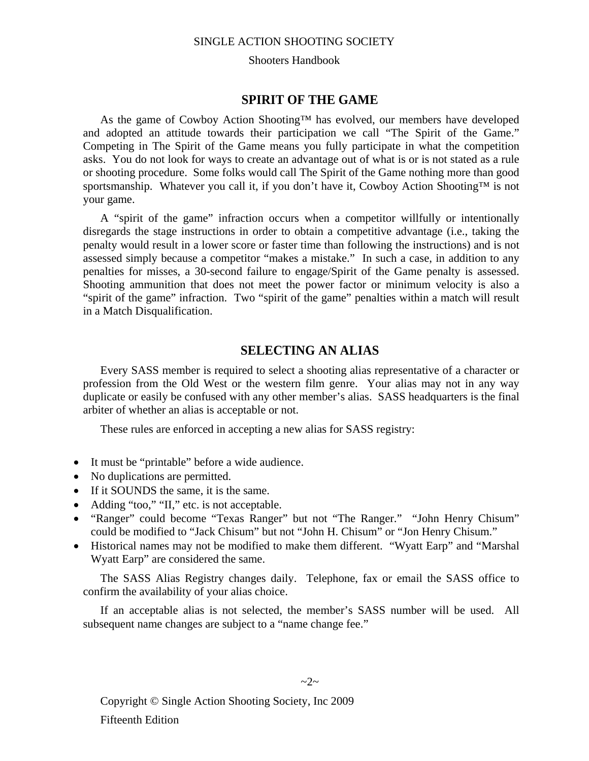Shooters Handbook

#### **SPIRIT OF THE GAME**

As the game of Cowboy Action Shooting™ has evolved, our members have developed and adopted an attitude towards their participation we call "The Spirit of the Game." Competing in The Spirit of the Game means you fully participate in what the competition asks. You do not look for ways to create an advantage out of what is or is not stated as a rule or shooting procedure. Some folks would call The Spirit of the Game nothing more than good sportsmanship. Whatever you call it, if you don't have it, Cowboy Action Shooting™ is not your game.

A "spirit of the game" infraction occurs when a competitor willfully or intentionally disregards the stage instructions in order to obtain a competitive advantage (i.e., taking the penalty would result in a lower score or faster time than following the instructions) and is not assessed simply because a competitor "makes a mistake." In such a case, in addition to any penalties for misses, a 30-second failure to engage/Spirit of the Game penalty is assessed. Shooting ammunition that does not meet the power factor or minimum velocity is also a "spirit of the game" infraction. Two "spirit of the game" penalties within a match will result in a Match Disqualification.

## **SELECTING AN ALIAS**

Every SASS member is required to select a shooting alias representative of a character or profession from the Old West or the western film genre. Your alias may not in any way duplicate or easily be confused with any other member's alias. SASS headquarters is the final arbiter of whether an alias is acceptable or not.

These rules are enforced in accepting a new alias for SASS registry:

- It must be "printable" before a wide audience.
- No duplications are permitted.
- If it SOUNDS the same, it is the same.
- Adding "too," "II," etc. is not acceptable.
- "Ranger" could become "Texas Ranger" but not "The Ranger." "John Henry Chisum" could be modified to "Jack Chisum" but not "John H. Chisum" or "Jon Henry Chisum."
- Historical names may not be modified to make them different. "Wyatt Earp" and "Marshal Wyatt Earp" are considered the same.

The SASS Alias Registry changes daily. Telephone, fax or email the SASS office to confirm the availability of your alias choice.

If an acceptable alias is not selected, the member's SASS number will be used. All subsequent name changes are subject to a "name change fee."

Copyright © Single Action Shooting Society, Inc 2009 Fifteenth Edition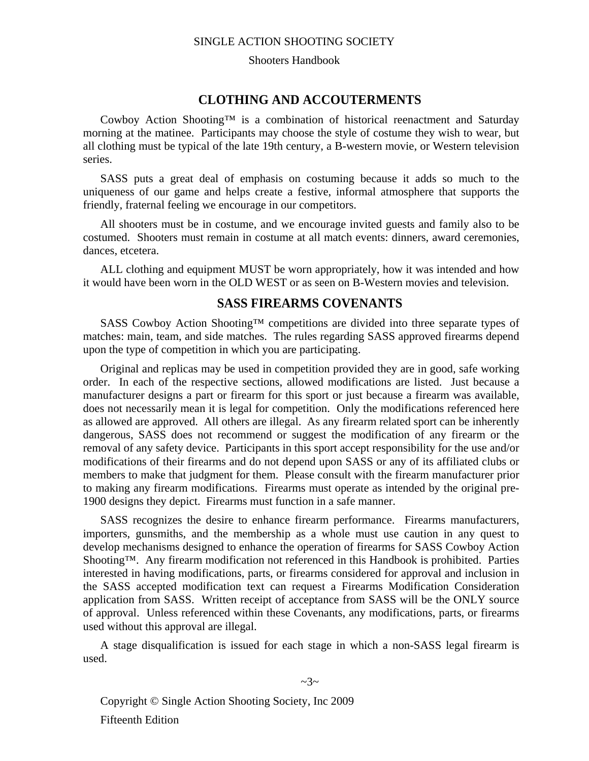#### Shooters Handbook

#### **CLOTHING AND ACCOUTERMENTS**

Cowboy Action Shooting™ is a combination of historical reenactment and Saturday morning at the matinee. Participants may choose the style of costume they wish to wear, but all clothing must be typical of the late 19th century, a B-western movie, or Western television series.

SASS puts a great deal of emphasis on costuming because it adds so much to the uniqueness of our game and helps create a festive, informal atmosphere that supports the friendly, fraternal feeling we encourage in our competitors.

All shooters must be in costume, and we encourage invited guests and family also to be costumed. Shooters must remain in costume at all match events: dinners, award ceremonies, dances, etcetera.

ALL clothing and equipment MUST be worn appropriately, how it was intended and how it would have been worn in the OLD WEST or as seen on B-Western movies and television.

#### **SASS FIREARMS COVENANTS**

SASS Cowboy Action Shooting™ competitions are divided into three separate types of matches: main, team, and side matches. The rules regarding SASS approved firearms depend upon the type of competition in which you are participating.

Original and replicas may be used in competition provided they are in good, safe working order. In each of the respective sections, allowed modifications are listed. Just because a manufacturer designs a part or firearm for this sport or just because a firearm was available, does not necessarily mean it is legal for competition. Only the modifications referenced here as allowed are approved. All others are illegal. As any firearm related sport can be inherently dangerous, SASS does not recommend or suggest the modification of any firearm or the removal of any safety device. Participants in this sport accept responsibility for the use and/or modifications of their firearms and do not depend upon SASS or any of its affiliated clubs or members to make that judgment for them. Please consult with the firearm manufacturer prior to making any firearm modifications. Firearms must operate as intended by the original pre-1900 designs they depict. Firearms must function in a safe manner.

SASS recognizes the desire to enhance firearm performance. Firearms manufacturers, importers, gunsmiths, and the membership as a whole must use caution in any quest to develop mechanisms designed to enhance the operation of firearms for SASS Cowboy Action Shooting™. Any firearm modification not referenced in this Handbook is prohibited. Parties interested in having modifications, parts, or firearms considered for approval and inclusion in the SASS accepted modification text can request a Firearms Modification Consideration application from SASS. Written receipt of acceptance from SASS will be the ONLY source of approval. Unless referenced within these Covenants, any modifications, parts, or firearms used without this approval are illegal.

A stage disqualification is issued for each stage in which a non-SASS legal firearm is used.

Copyright © Single Action Shooting Society, Inc 2009 Fifteenth Edition

#### $\sim$ 3~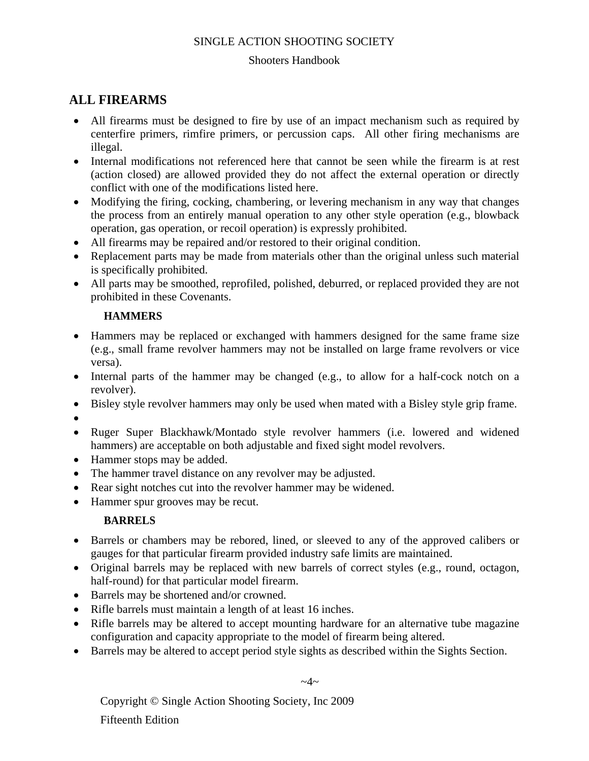#### Shooters Handbook

## **ALL FIREARMS**

- All firearms must be designed to fire by use of an impact mechanism such as required by centerfire primers, rimfire primers, or percussion caps. All other firing mechanisms are illegal.
- Internal modifications not referenced here that cannot be seen while the firearm is at rest (action closed) are allowed provided they do not affect the external operation or directly conflict with one of the modifications listed here.
- Modifying the firing, cocking, chambering, or levering mechanism in any way that changes the process from an entirely manual operation to any other style operation (e.g., blowback operation, gas operation, or recoil operation) is expressly prohibited.
- All firearms may be repaired and/or restored to their original condition.
- Replacement parts may be made from materials other than the original unless such material is specifically prohibited.
- All parts may be smoothed, reprofiled, polished, deburred, or replaced provided they are not prohibited in these Covenants.

#### **HAMMERS**

- Hammers may be replaced or exchanged with hammers designed for the same frame size (e.g., small frame revolver hammers may not be installed on large frame revolvers or vice versa).
- Internal parts of the hammer may be changed (e.g., to allow for a half-cock notch on a revolver).
- Bisley style revolver hammers may only be used when mated with a Bisley style grip frame.
- •
- Ruger Super Blackhawk/Montado style revolver hammers (i.e. lowered and widened
- hammers) are acceptable on both adjustable and fixed sight model revolvers.
- Hammer stops may be added.
- The hammer travel distance on any revolver may be adjusted.
- Rear sight notches cut into the revolver hammer may be widened.
- Hammer spur grooves may be recut.

## **BARRELS**

- Barrels or chambers may be rebored, lined, or sleeved to any of the approved calibers or gauges for that particular firearm provided industry safe limits are maintained.
- Original barrels may be replaced with new barrels of correct styles (e.g., round, octagon, half-round) for that particular model firearm.
- Barrels may be shortened and/or crowned.
- Rifle barrels must maintain a length of at least 16 inches.
- Rifle barrels may be altered to accept mounting hardware for an alternative tube magazine configuration and capacity appropriate to the model of firearm being altered.
- Barrels may be altered to accept period style sights as described within the Sights Section.

 $\sim$ 4 $\sim$ 

Copyright © Single Action Shooting Society, Inc 2009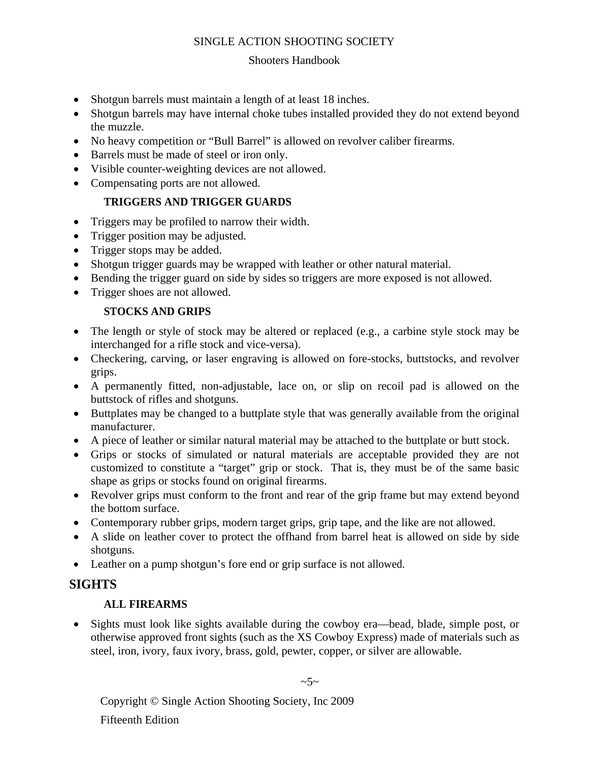#### Shooters Handbook

- Shotgun barrels must maintain a length of at least 18 inches.
- Shotgun barrels may have internal choke tubes installed provided they do not extend beyond the muzzle.
- No heavy competition or "Bull Barrel" is allowed on revolver caliber firearms.
- Barrels must be made of steel or iron only.
- Visible counter-weighting devices are not allowed.
- Compensating ports are not allowed.

#### **TRIGGERS AND TRIGGER GUARDS**

- Triggers may be profiled to narrow their width.
- Trigger position may be adjusted.
- Trigger stops may be added.
- Shotgun trigger guards may be wrapped with leather or other natural material.
- Bending the trigger guard on side by sides so triggers are more exposed is not allowed.
- Trigger shoes are not allowed.

#### **STOCKS AND GRIPS**

- The length or style of stock may be altered or replaced (e.g., a carbine style stock may be interchanged for a rifle stock and vice-versa).
- Checkering, carving, or laser engraving is allowed on fore-stocks, buttstocks, and revolver grips.
- A permanently fitted, non-adjustable, lace on, or slip on recoil pad is allowed on the buttstock of rifles and shotguns.
- Buttplates may be changed to a buttplate style that was generally available from the original manufacturer.
- A piece of leather or similar natural material may be attached to the buttplate or butt stock.
- Grips or stocks of simulated or natural materials are acceptable provided they are not customized to constitute a "target" grip or stock. That is, they must be of the same basic shape as grips or stocks found on original firearms.
- Revolver grips must conform to the front and rear of the grip frame but may extend beyond the bottom surface.
- Contemporary rubber grips, modern target grips, grip tape, and the like are not allowed.
- A slide on leather cover to protect the offhand from barrel heat is allowed on side by side shotguns.
- Leather on a pump shotgun's fore end or grip surface is not allowed.

## **SIGHTS**

## **ALL FIREARMS**

• Sights must look like sights available during the cowboy era—bead, blade, simple post, or otherwise approved front sights (such as the XS Cowboy Express) made of materials such as steel, iron, ivory, faux ivory, brass, gold, pewter, copper, or silver are allowable.

Copyright © Single Action Shooting Society, Inc 2009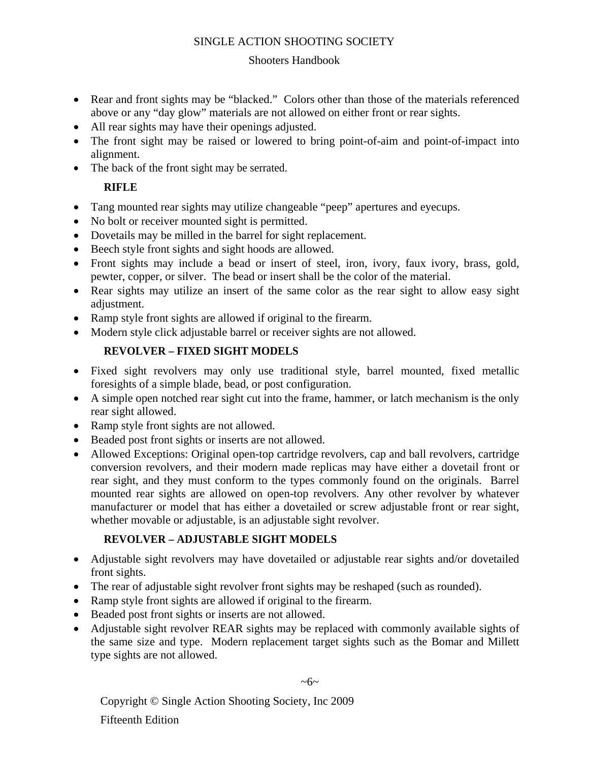#### Shooters Handbook

- Rear and front sights may be "blacked." Colors other than those of the materials referenced above or any "day glow" materials are not allowed on either front or rear sights.
- All rear sights may have their openings adjusted.
- The front sight may be raised or lowered to bring point-of-aim and point-of-impact into alignment.
- The back of the front sight may be serrated.

## **RIFLE**

- Tang mounted rear sights may utilize changeable "peep" apertures and eyecups.
- No bolt or receiver mounted sight is permitted.
- Dovetails may be milled in the barrel for sight replacement.
- Beech style front sights and sight hoods are allowed.
- Front sights may include a bead or insert of steel, iron, ivory, faux ivory, brass, gold, pewter, copper, or silver. The bead or insert shall be the color of the material.
- Rear sights may utilize an insert of the same color as the rear sight to allow easy sight adjustment.
- Ramp style front sights are allowed if original to the firearm.
- Modern style click adjustable barrel or receiver sights are not allowed.

## **REVOLVER – FIXED SIGHT MODELS**

- Fixed sight revolvers may only use traditional style, barrel mounted, fixed metallic foresights of a simple blade, bead, or post configuration.
- A simple open notched rear sight cut into the frame, hammer, or latch mechanism is the only rear sight allowed.
- Ramp style front sights are not allowed.
- Beaded post front sights or inserts are not allowed.
- Allowed Exceptions: Original open-top cartridge revolvers, cap and ball revolvers, cartridge conversion revolvers, and their modern made replicas may have either a dovetail front or rear sight, and they must conform to the types commonly found on the originals. Barrel mounted rear sights are allowed on open-top revolvers. Any other revolver by whatever manufacturer or model that has either a dovetailed or screw adjustable front or rear sight, whether movable or adjustable, is an adjustable sight revolver.

## **REVOLVER – ADJUSTABLE SIGHT MODELS**

- Adjustable sight revolvers may have dovetailed or adjustable rear sights and/or dovetailed front sights.
- The rear of adjustable sight revolver front sights may be reshaped (such as rounded).
- Ramp style front sights are allowed if original to the firearm.
- Beaded post front sights or inserts are not allowed.
- Adjustable sight revolver REAR sights may be replaced with commonly available sights of the same size and type. Modern replacement target sights such as the Bomar and Millett type sights are not allowed.

 $~\sim 6~\sim$ 

Copyright © Single Action Shooting Society, Inc 2009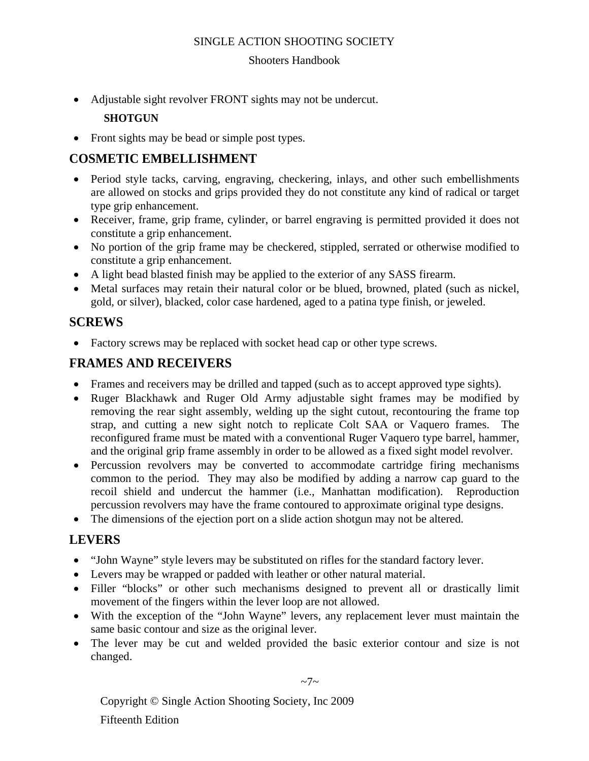#### Shooters Handbook

• Adjustable sight revolver FRONT sights may not be undercut.

## **SHOTGUN**

• Front sights may be bead or simple post types.

## **COSMETIC EMBELLISHMENT**

- Period style tacks, carving, engraving, checkering, inlays, and other such embellishments are allowed on stocks and grips provided they do not constitute any kind of radical or target type grip enhancement.
- Receiver, frame, grip frame, cylinder, or barrel engraving is permitted provided it does not constitute a grip enhancement.
- No portion of the grip frame may be checkered, stippled, serrated or otherwise modified to constitute a grip enhancement.
- A light bead blasted finish may be applied to the exterior of any SASS firearm.
- Metal surfaces may retain their natural color or be blued, browned, plated (such as nickel, gold, or silver), blacked, color case hardened, aged to a patina type finish, or jeweled.

## **SCREWS**

• Factory screws may be replaced with socket head cap or other type screws.

## **FRAMES AND RECEIVERS**

- Frames and receivers may be drilled and tapped (such as to accept approved type sights).
- Ruger Blackhawk and Ruger Old Army adjustable sight frames may be modified by removing the rear sight assembly, welding up the sight cutout, recontouring the frame top strap, and cutting a new sight notch to replicate Colt SAA or Vaquero frames. The reconfigured frame must be mated with a conventional Ruger Vaquero type barrel, hammer, and the original grip frame assembly in order to be allowed as a fixed sight model revolver.
- Percussion revolvers may be converted to accommodate cartridge firing mechanisms common to the period. They may also be modified by adding a narrow cap guard to the recoil shield and undercut the hammer (i.e., Manhattan modification). Reproduction percussion revolvers may have the frame contoured to approximate original type designs.
- The dimensions of the ejection port on a slide action shotgun may not be altered.

## **LEVERS**

- "John Wayne" style levers may be substituted on rifles for the standard factory lever.
- Levers may be wrapped or padded with leather or other natural material.
- Filler "blocks" or other such mechanisms designed to prevent all or drastically limit movement of the fingers within the lever loop are not allowed.
- With the exception of the "John Wayne" levers, any replacement lever must maintain the same basic contour and size as the original lever.
- The lever may be cut and welded provided the basic exterior contour and size is not changed.

 $\sim 7$ ~

Copyright © Single Action Shooting Society, Inc 2009 Fifteenth Edition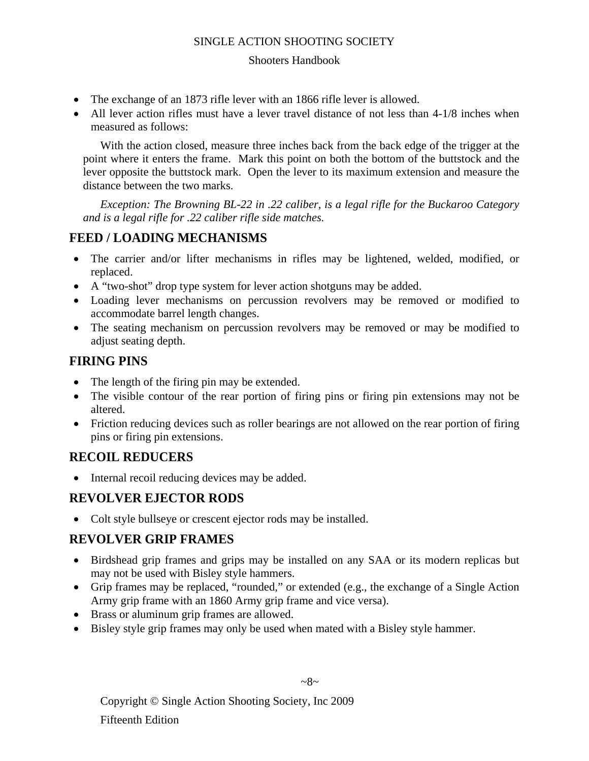#### Shooters Handbook

- The exchange of an 1873 rifle lever with an 1866 rifle lever is allowed.
- All lever action rifles must have a lever travel distance of not less than 4-1/8 inches when measured as follows:

With the action closed, measure three inches back from the back edge of the trigger at the point where it enters the frame. Mark this point on both the bottom of the buttstock and the lever opposite the buttstock mark. Open the lever to its maximum extension and measure the distance between the two marks.

*Exception: The Browning BL-22 in .22 caliber, is a legal rifle for the Buckaroo Category and is a legal rifle for .22 caliber rifle side matches.* 

## **FEED / LOADING MECHANISMS**

- The carrier and/or lifter mechanisms in rifles may be lightened, welded, modified, or replaced.
- A "two-shot" drop type system for lever action shotguns may be added.
- Loading lever mechanisms on percussion revolvers may be removed or modified to accommodate barrel length changes.
- The seating mechanism on percussion revolvers may be removed or may be modified to adjust seating depth.

## **FIRING PINS**

- The length of the firing pin may be extended.
- The visible contour of the rear portion of firing pins or firing pin extensions may not be altered.
- Friction reducing devices such as roller bearings are not allowed on the rear portion of firing pins or firing pin extensions.

## **RECOIL REDUCERS**

• Internal recoil reducing devices may be added.

## **REVOLVER EJECTOR RODS**

• Colt style bullseye or crescent ejector rods may be installed.

## **REVOLVER GRIP FRAMES**

- Birdshead grip frames and grips may be installed on any SAA or its modern replicas but may not be used with Bisley style hammers.
- Grip frames may be replaced, "rounded," or extended (e.g., the exchange of a Single Action Army grip frame with an 1860 Army grip frame and vice versa).
- Brass or aluminum grip frames are allowed.
- Bisley style grip frames may only be used when mated with a Bisley style hammer.

Copyright © Single Action Shooting Society, Inc 2009 Fifteenth Edition

#### $~28~$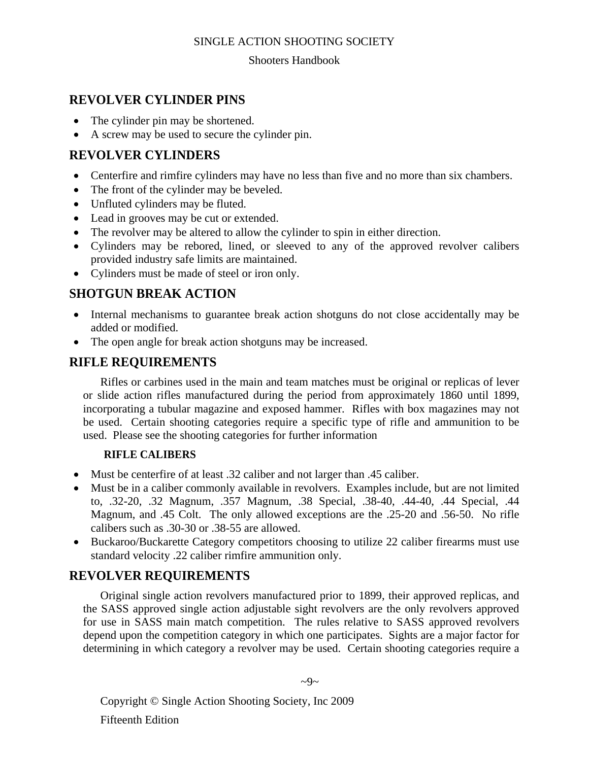#### Shooters Handbook

## **REVOLVER CYLINDER PINS**

- The cylinder pin may be shortened.
- A screw may be used to secure the cylinder pin.

## **REVOLVER CYLINDERS**

- Centerfire and rimfire cylinders may have no less than five and no more than six chambers.
- The front of the cylinder may be beveled.
- Unfluted cylinders may be fluted.
- Lead in grooves may be cut or extended.
- The revolver may be altered to allow the cylinder to spin in either direction.
- Cylinders may be rebored, lined, or sleeved to any of the approved revolver calibers provided industry safe limits are maintained.
- Cylinders must be made of steel or iron only.

## **SHOTGUN BREAK ACTION**

- Internal mechanisms to guarantee break action shotguns do not close accidentally may be added or modified.
- The open angle for break action shotguns may be increased.

## **RIFLE REQUIREMENTS**

Rifles or carbines used in the main and team matches must be original or replicas of lever or slide action rifles manufactured during the period from approximately 1860 until 1899, incorporating a tubular magazine and exposed hammer. Rifles with box magazines may not be used. Certain shooting categories require a specific type of rifle and ammunition to be used. Please see the shooting categories for further information

## **RIFLE CALIBERS**

- Must be centerfire of at least .32 caliber and not larger than .45 caliber.
- Must be in a caliber commonly available in revolvers. Examples include, but are not limited to, .32-20, .32 Magnum, .357 Magnum, .38 Special, .38-40, .44-40, .44 Special, .44 Magnum, and .45 Colt. The only allowed exceptions are the .25-20 and .56-50. No rifle calibers such as .30-30 or .38-55 are allowed.
- Buckaroo/Buckarette Category competitors choosing to utilize 22 caliber firearms must use standard velocity .22 caliber rimfire ammunition only.

## **REVOLVER REQUIREMENTS**

Original single action revolvers manufactured prior to 1899, their approved replicas, and the SASS approved single action adjustable sight revolvers are the only revolvers approved for use in SASS main match competition. The rules relative to SASS approved revolvers depend upon the competition category in which one participates. Sights are a major factor for determining in which category a revolver may be used. Certain shooting categories require a

 $\sim 9$ ~

Copyright © Single Action Shooting Society, Inc 2009 Fifteenth Edition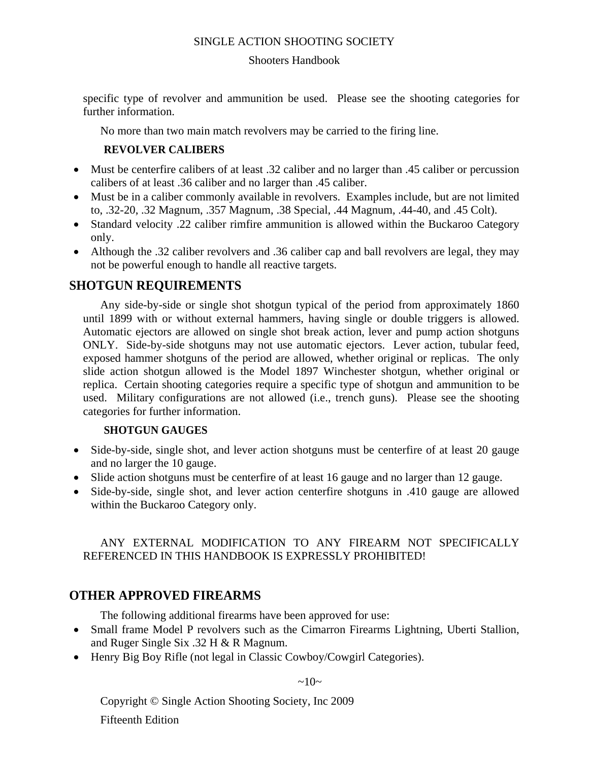#### Shooters Handbook

specific type of revolver and ammunition be used. Please see the shooting categories for further information.

No more than two main match revolvers may be carried to the firing line.

#### **REVOLVER CALIBERS**

- Must be centerfire calibers of at least .32 caliber and no larger than .45 caliber or percussion calibers of at least .36 caliber and no larger than .45 caliber.
- Must be in a caliber commonly available in revolvers. Examples include, but are not limited to, .32-20, .32 Magnum, .357 Magnum, .38 Special, .44 Magnum, .44-40, and .45 Colt).
- Standard velocity .22 caliber rimfire ammunition is allowed within the Buckaroo Category only.
- Although the .32 caliber revolvers and .36 caliber cap and ball revolvers are legal, they may not be powerful enough to handle all reactive targets.

#### **SHOTGUN REQUIREMENTS**

Any side-by-side or single shot shotgun typical of the period from approximately 1860 until 1899 with or without external hammers, having single or double triggers is allowed. Automatic ejectors are allowed on single shot break action, lever and pump action shotguns ONLY. Side-by-side shotguns may not use automatic ejectors. Lever action, tubular feed, exposed hammer shotguns of the period are allowed, whether original or replicas. The only slide action shotgun allowed is the Model 1897 Winchester shotgun, whether original or replica. Certain shooting categories require a specific type of shotgun and ammunition to be used. Military configurations are not allowed (i.e., trench guns). Please see the shooting categories for further information.

#### **SHOTGUN GAUGES**

- Side-by-side, single shot, and lever action shotguns must be centerfire of at least 20 gauge and no larger the 10 gauge.
- Slide action shotguns must be centerfire of at least 16 gauge and no larger than 12 gauge.
- Side-by-side, single shot, and lever action centerfire shotguns in .410 gauge are allowed within the Buckaroo Category only.

#### ANY EXTERNAL MODIFICATION TO ANY FIREARM NOT SPECIFICALLY REFERENCED IN THIS HANDBOOK IS EXPRESSLY PROHIBITED!

## **OTHER APPROVED FIREARMS**

The following additional firearms have been approved for use:

- Small frame Model P revolvers such as the Cimarron Firearms Lightning, Uberti Stallion, and Ruger Single Six .32 H & R Magnum.
- Henry Big Boy Rifle (not legal in Classic Cowboy/Cowgirl Categories).

 $\sim 10\sim$ 

Copyright © Single Action Shooting Society, Inc 2009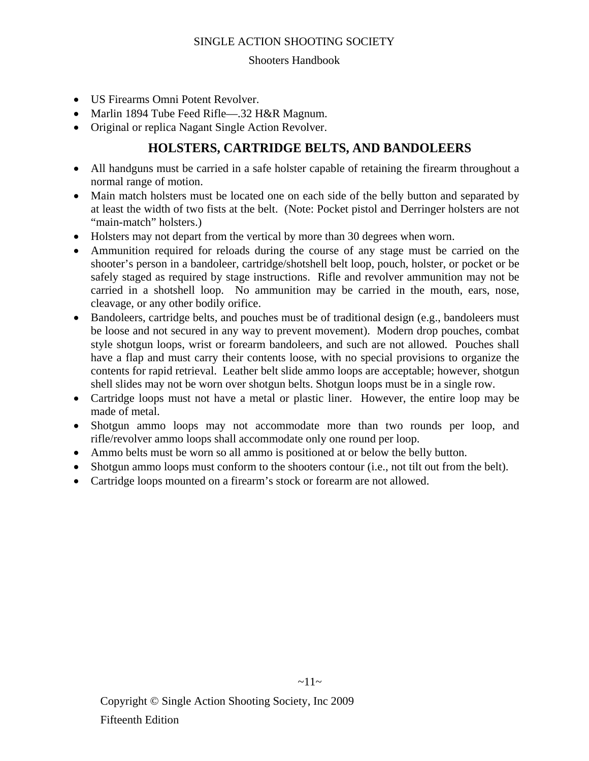#### Shooters Handbook

- US Firearms Omni Potent Revolver.
- Marlin 1894 Tube Feed Rifle—.32 H&R Magnum.
- Original or replica Nagant Single Action Revolver.

## **HOLSTERS, CARTRIDGE BELTS, AND BANDOLEERS**

- All handguns must be carried in a safe holster capable of retaining the firearm throughout a normal range of motion.
- Main match holsters must be located one on each side of the belly button and separated by at least the width of two fists at the belt. (Note: Pocket pistol and Derringer holsters are not "main-match" holsters.)
- Holsters may not depart from the vertical by more than 30 degrees when worn.
- Ammunition required for reloads during the course of any stage must be carried on the shooter's person in a bandoleer, cartridge/shotshell belt loop, pouch, holster, or pocket or be safely staged as required by stage instructions. Rifle and revolver ammunition may not be carried in a shotshell loop. No ammunition may be carried in the mouth, ears, nose, cleavage, or any other bodily orifice.
- Bandoleers, cartridge belts, and pouches must be of traditional design (e.g., bandoleers must be loose and not secured in any way to prevent movement). Modern drop pouches, combat style shotgun loops, wrist or forearm bandoleers, and such are not allowed. Pouches shall have a flap and must carry their contents loose, with no special provisions to organize the contents for rapid retrieval. Leather belt slide ammo loops are acceptable; however, shotgun shell slides may not be worn over shotgun belts. Shotgun loops must be in a single row.
- Cartridge loops must not have a metal or plastic liner. However, the entire loop may be made of metal.
- Shotgun ammo loops may not accommodate more than two rounds per loop, and rifle/revolver ammo loops shall accommodate only one round per loop.
- Ammo belts must be worn so all ammo is positioned at or below the belly button.
- Shotgun ammo loops must conform to the shooters contour (i.e., not tilt out from the belt).
- Cartridge loops mounted on a firearm's stock or forearm are not allowed.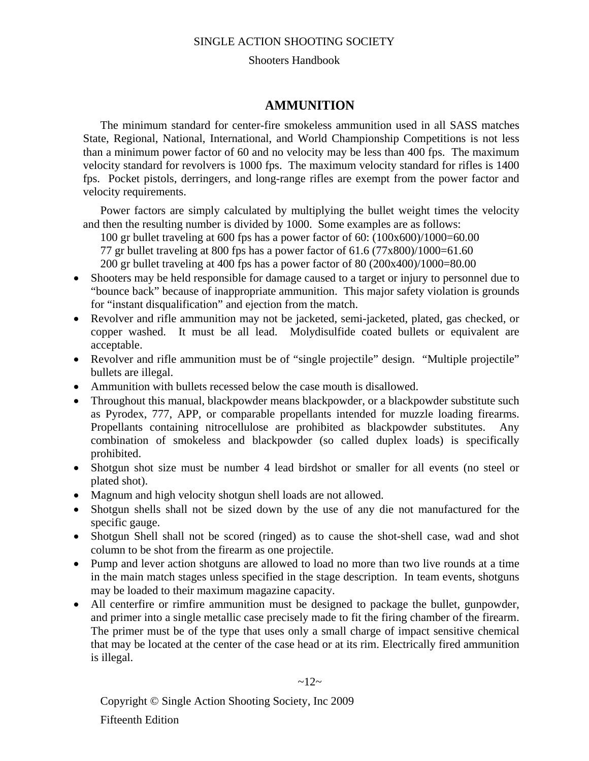#### Shooters Handbook

#### **AMMUNITION**

The minimum standard for center-fire smokeless ammunition used in all SASS matches State, Regional, National, International, and World Championship Competitions is not less than a minimum power factor of 60 and no velocity may be less than 400 fps. The maximum velocity standard for revolvers is 1000 fps. The maximum velocity standard for rifles is 1400 fps. Pocket pistols, derringers, and long-range rifles are exempt from the power factor and velocity requirements.

Power factors are simply calculated by multiplying the bullet weight times the velocity and then the resulting number is divided by 1000. Some examples are as follows:

100 gr bullet traveling at 600 fps has a power factor of 60: (100x600)/1000=60.00 77 gr bullet traveling at 800 fps has a power factor of  $61.6 (77 \times 800)/1000=61.60$ 200 gr bullet traveling at 400 fps has a power factor of 80 (200x400)/1000=80.00

- Shooters may be held responsible for damage caused to a target or injury to personnel due to "bounce back" because of inappropriate ammunition. This major safety violation is grounds for "instant disqualification" and ejection from the match.
- Revolver and rifle ammunition may not be jacketed, semi-jacketed, plated, gas checked, or copper washed. It must be all lead. Molydisulfide coated bullets or equivalent are acceptable.
- Revolver and rifle ammunition must be of "single projectile" design. "Multiple projectile" bullets are illegal.
- Ammunition with bullets recessed below the case mouth is disallowed.
- Throughout this manual, blackpowder means blackpowder, or a blackpowder substitute such as Pyrodex, 777, APP, or comparable propellants intended for muzzle loading firearms. Propellants containing nitrocellulose are prohibited as blackpowder substitutes. Any combination of smokeless and blackpowder (so called duplex loads) is specifically prohibited.
- Shotgun shot size must be number 4 lead birdshot or smaller for all events (no steel or plated shot).
- Magnum and high velocity shotgun shell loads are not allowed.
- Shotgun shells shall not be sized down by the use of any die not manufactured for the specific gauge.
- Shotgun Shell shall not be scored (ringed) as to cause the shot-shell case, wad and shot column to be shot from the firearm as one projectile.
- Pump and lever action shotguns are allowed to load no more than two live rounds at a time in the main match stages unless specified in the stage description. In team events, shotguns may be loaded to their maximum magazine capacity.
- All centerfire or rimfire ammunition must be designed to package the bullet, gunpowder, and primer into a single metallic case precisely made to fit the firing chamber of the firearm. The primer must be of the type that uses only a small charge of impact sensitive chemical that may be located at the center of the case head or at its rim. Electrically fired ammunition is illegal.

 $~12~$ 

Copyright © Single Action Shooting Society, Inc 2009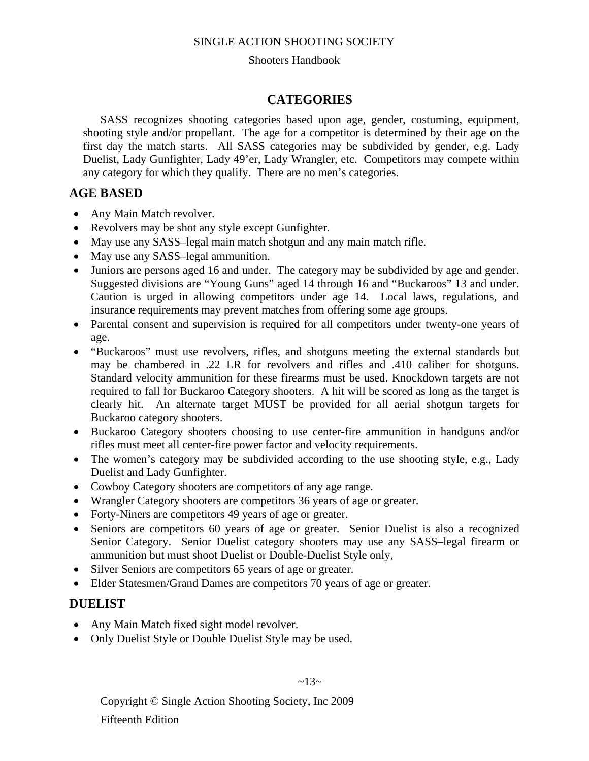#### Shooters Handbook

#### **CATEGORIES**

SASS recognizes shooting categories based upon age, gender, costuming, equipment, shooting style and/or propellant. The age for a competitor is determined by their age on the first day the match starts. All SASS categories may be subdivided by gender, e.g. Lady Duelist, Lady Gunfighter, Lady 49'er, Lady Wrangler, etc. Competitors may compete within any category for which they qualify. There are no men's categories.

#### **AGE BASED**

- Any Main Match revolver.
- Revolvers may be shot any style except Gunfighter.
- May use any SASS–legal main match shotgun and any main match rifle.
- May use any SASS-legal ammunition.
- Juniors are persons aged 16 and under. The category may be subdivided by age and gender. Suggested divisions are "Young Guns" aged 14 through 16 and "Buckaroos" 13 and under. Caution is urged in allowing competitors under age 14. Local laws, regulations, and insurance requirements may prevent matches from offering some age groups.
- Parental consent and supervision is required for all competitors under twenty-one years of age.
- "Buckaroos" must use revolvers, rifles, and shotguns meeting the external standards but may be chambered in .22 LR for revolvers and rifles and .410 caliber for shotguns. Standard velocity ammunition for these firearms must be used. Knockdown targets are not required to fall for Buckaroo Category shooters. A hit will be scored as long as the target is clearly hit. An alternate target MUST be provided for all aerial shotgun targets for Buckaroo category shooters.
- Buckaroo Category shooters choosing to use center-fire ammunition in handguns and/or rifles must meet all center-fire power factor and velocity requirements.
- The women's category may be subdivided according to the use shooting style, e.g., Lady Duelist and Lady Gunfighter.
- Cowboy Category shooters are competitors of any age range.
- Wrangler Category shooters are competitors 36 years of age or greater.
- Forty-Niners are competitors 49 years of age or greater.
- Seniors are competitors 60 years of age or greater. Senior Duelist is also a recognized Senior Category. Senior Duelist category shooters may use any SASS–legal firearm or ammunition but must shoot Duelist or Double-Duelist Style only,
- Silver Seniors are competitors 65 years of age or greater.
- Elder Statesmen/Grand Dames are competitors 70 years of age or greater.

#### **DUELIST**

- Any Main Match fixed sight model revolver.
- Only Duelist Style or Double Duelist Style may be used.

 $~13~$ 

Copyright © Single Action Shooting Society, Inc 2009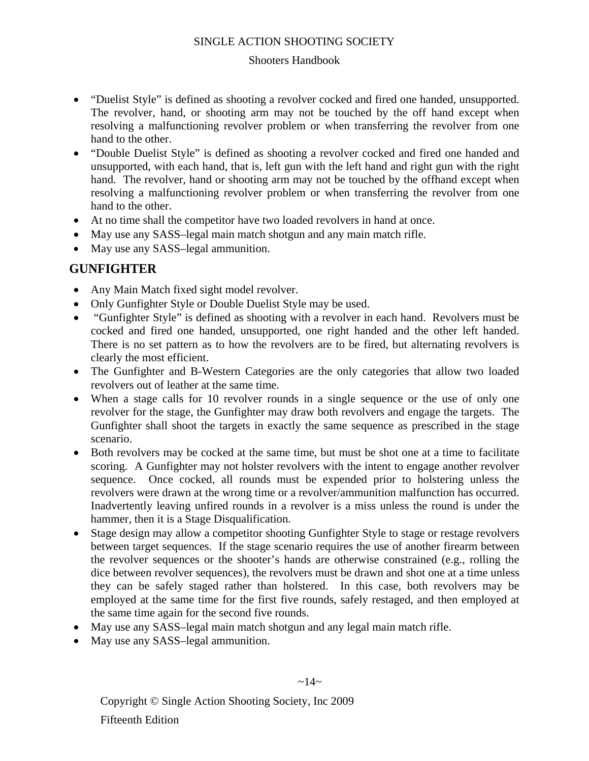#### Shooters Handbook

- "Duelist Style" is defined as shooting a revolver cocked and fired one handed, unsupported. The revolver, hand, or shooting arm may not be touched by the off hand except when resolving a malfunctioning revolver problem or when transferring the revolver from one hand to the other.
- "Double Duelist Style" is defined as shooting a revolver cocked and fired one handed and unsupported, with each hand, that is, left gun with the left hand and right gun with the right hand. The revolver, hand or shooting arm may not be touched by the offhand except when resolving a malfunctioning revolver problem or when transferring the revolver from one hand to the other.
- At no time shall the competitor have two loaded revolvers in hand at once.
- May use any SASS–legal main match shotgun and any main match rifle.
- May use any SASS–legal ammunition.

## **GUNFIGHTER**

- Any Main Match fixed sight model revolver.
- Only Gunfighter Style or Double Duelist Style may be used.
- "Gunfighter Style" is defined as shooting with a revolver in each hand. Revolvers must be cocked and fired one handed, unsupported, one right handed and the other left handed. There is no set pattern as to how the revolvers are to be fired, but alternating revolvers is clearly the most efficient.
- The Gunfighter and B-Western Categories are the only categories that allow two loaded revolvers out of leather at the same time.
- When a stage calls for 10 revolver rounds in a single sequence or the use of only one revolver for the stage, the Gunfighter may draw both revolvers and engage the targets. The Gunfighter shall shoot the targets in exactly the same sequence as prescribed in the stage scenario.
- Both revolvers may be cocked at the same time, but must be shot one at a time to facilitate scoring. A Gunfighter may not holster revolvers with the intent to engage another revolver sequence. Once cocked, all rounds must be expended prior to holstering unless the revolvers were drawn at the wrong time or a revolver/ammunition malfunction has occurred. Inadvertently leaving unfired rounds in a revolver is a miss unless the round is under the hammer, then it is a Stage Disqualification.
- Stage design may allow a competitor shooting Gunfighter Style to stage or restage revolvers between target sequences. If the stage scenario requires the use of another firearm between the revolver sequences or the shooter's hands are otherwise constrained (e.g., rolling the dice between revolver sequences), the revolvers must be drawn and shot one at a time unless they can be safely staged rather than holstered. In this case, both revolvers may be employed at the same time for the first five rounds, safely restaged, and then employed at the same time again for the second five rounds.
- May use any SASS–legal main match shotgun and any legal main match rifle.
- May use any SASS-legal ammunition.

Copyright © Single Action Shooting Society, Inc 2009 Fifteenth Edition

#### $~14~$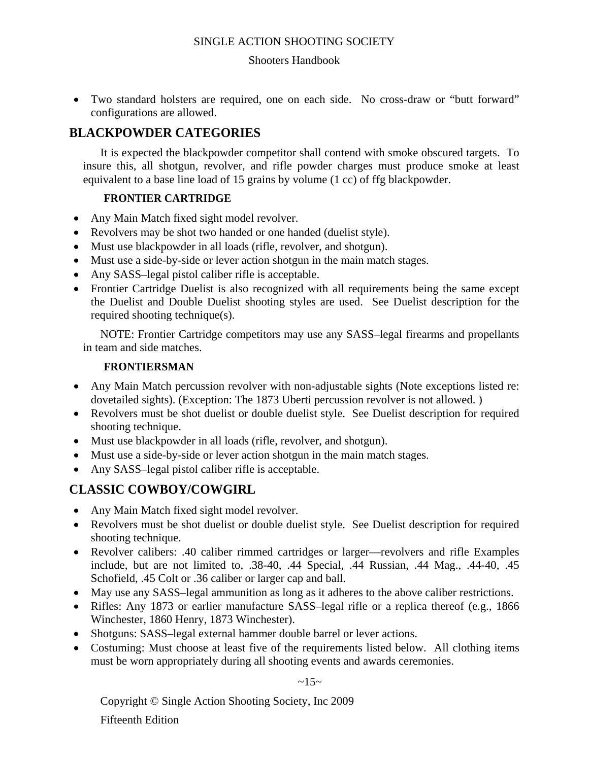#### Shooters Handbook

• Two standard holsters are required, one on each side. No cross-draw or "butt forward" configurations are allowed.

## **BLACKPOWDER CATEGORIES**

It is expected the blackpowder competitor shall contend with smoke obscured targets. To insure this, all shotgun, revolver, and rifle powder charges must produce smoke at least equivalent to a base line load of 15 grains by volume (1 cc) of ffg blackpowder.

#### **FRONTIER CARTRIDGE**

- Any Main Match fixed sight model revolver.
- Revolvers may be shot two handed or one handed (duelist style).
- Must use blackpowder in all loads (rifle, revolver, and shotgun).
- Must use a side-by-side or lever action shotgun in the main match stages.
- Any SASS–legal pistol caliber rifle is acceptable.
- Frontier Cartridge Duelist is also recognized with all requirements being the same except the Duelist and Double Duelist shooting styles are used. See Duelist description for the required shooting technique(s).

NOTE: Frontier Cartridge competitors may use any SASS–legal firearms and propellants in team and side matches.

#### **FRONTIERSMAN**

- Any Main Match percussion revolver with non-adjustable sights (Note exceptions listed re: dovetailed sights). (Exception: The 1873 Uberti percussion revolver is not allowed. )
- Revolvers must be shot duelist or double duelist style. See Duelist description for required shooting technique.
- Must use blackpowder in all loads (rifle, revolver, and shotgun).
- Must use a side-by-side or lever action shotgun in the main match stages.
- Any SASS–legal pistol caliber rifle is acceptable.

## **CLASSIC COWBOY/COWGIRL**

- Any Main Match fixed sight model revolver.
- Revolvers must be shot duelist or double duelist style. See Duelist description for required shooting technique.
- Revolver calibers: .40 caliber rimmed cartridges or larger—revolvers and rifle Examples include, but are not limited to, .38-40, .44 Special, .44 Russian, .44 Mag., .44-40, .45 Schofield, .45 Colt or .36 caliber or larger cap and ball.
- May use any SASS–legal ammunition as long as it adheres to the above caliber restrictions.
- Rifles: Any 1873 or earlier manufacture SASS-legal rifle or a replica thereof (e.g., 1866) Winchester, 1860 Henry, 1873 Winchester).
- Shotguns: SASS–legal external hammer double barrel or lever actions.
- Costuming: Must choose at least five of the requirements listed below. All clothing items must be worn appropriately during all shooting events and awards ceremonies.

 $~15~$ 

Copyright © Single Action Shooting Society, Inc 2009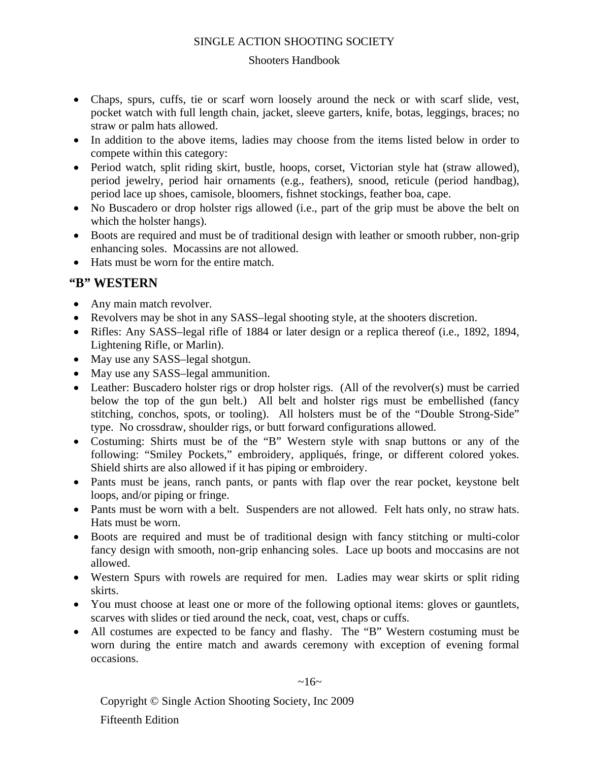#### Shooters Handbook

- Chaps, spurs, cuffs, tie or scarf worn loosely around the neck or with scarf slide, vest, pocket watch with full length chain, jacket, sleeve garters, knife, botas, leggings, braces; no straw or palm hats allowed.
- In addition to the above items, ladies may choose from the items listed below in order to compete within this category:
- Period watch, split riding skirt, bustle, hoops, corset, Victorian style hat (straw allowed), period jewelry, period hair ornaments (e.g., feathers), snood, reticule (period handbag), period lace up shoes, camisole, bloomers, fishnet stockings, feather boa, cape.
- No Buscadero or drop holster rigs allowed (i.e., part of the grip must be above the belt on which the holster hangs).
- Boots are required and must be of traditional design with leather or smooth rubber, non-grip enhancing soles. Mocassins are not allowed.
- Hats must be worn for the entire match.

## **"B" WESTERN**

- Any main match revolver.
- Revolvers may be shot in any SASS–legal shooting style, at the shooters discretion.
- Rifles: Any SASS–legal rifle of 1884 or later design or a replica thereof (i.e., 1892, 1894, Lightening Rifle, or Marlin).
- May use any SASS-legal shotgun.
- May use any SASS–legal ammunition.
- Leather: Buscadero holster rigs or drop holster rigs. (All of the revolver(s) must be carried below the top of the gun belt.) All belt and holster rigs must be embellished (fancy stitching, conchos, spots, or tooling). All holsters must be of the "Double Strong-Side" type. No crossdraw, shoulder rigs, or butt forward configurations allowed.
- Costuming: Shirts must be of the "B" Western style with snap buttons or any of the following: "Smiley Pockets," embroidery, appliqués, fringe, or different colored yokes. Shield shirts are also allowed if it has piping or embroidery.
- Pants must be jeans, ranch pants, or pants with flap over the rear pocket, keystone belt loops, and/or piping or fringe.
- Pants must be worn with a belt. Suspenders are not allowed. Felt hats only, no straw hats. Hats must be worn.
- Boots are required and must be of traditional design with fancy stitching or multi-color fancy design with smooth, non-grip enhancing soles. Lace up boots and moccasins are not allowed.
- Western Spurs with rowels are required for men. Ladies may wear skirts or split riding skirts.
- You must choose at least one or more of the following optional items: gloves or gauntlets, scarves with slides or tied around the neck, coat, vest, chaps or cuffs.
- All costumes are expected to be fancy and flashy. The "B" Western costuming must be worn during the entire match and awards ceremony with exception of evening formal occasions.

 $~16~$ 

Copyright © Single Action Shooting Society, Inc 2009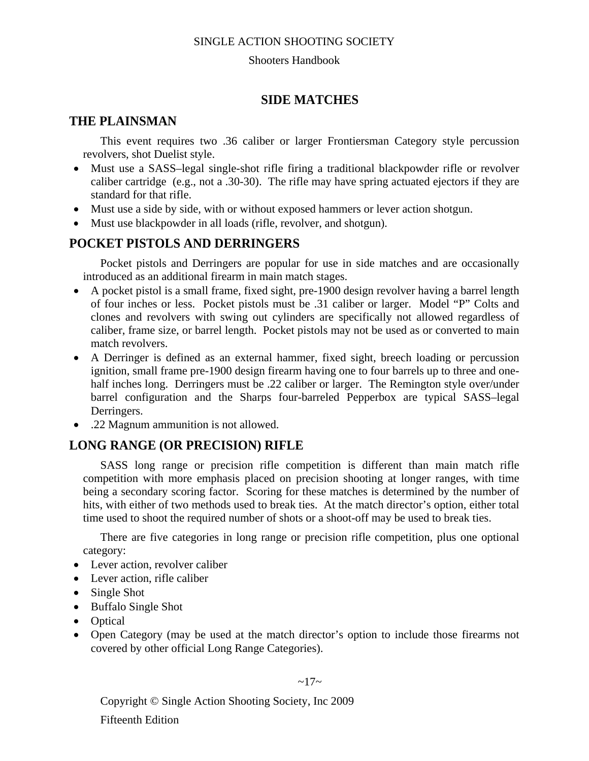#### Shooters Handbook

## **SIDE MATCHES**

## **THE PLAINSMAN**

This event requires two .36 caliber or larger Frontiersman Category style percussion revolvers, shot Duelist style.

- Must use a SASS-legal single-shot rifle firing a traditional blackpowder rifle or revolver caliber cartridge (e.g., not a .30-30). The rifle may have spring actuated ejectors if they are standard for that rifle.
- Must use a side by side, with or without exposed hammers or lever action shotgun.
- Must use blackpowder in all loads (rifle, revolver, and shotgun).

## **POCKET PISTOLS AND DERRINGERS**

Pocket pistols and Derringers are popular for use in side matches and are occasionally introduced as an additional firearm in main match stages.

- A pocket pistol is a small frame, fixed sight, pre-1900 design revolver having a barrel length of four inches or less. Pocket pistols must be .31 caliber or larger. Model "P" Colts and clones and revolvers with swing out cylinders are specifically not allowed regardless of caliber, frame size, or barrel length. Pocket pistols may not be used as or converted to main match revolvers.
- A Derringer is defined as an external hammer, fixed sight, breech loading or percussion ignition, small frame pre-1900 design firearm having one to four barrels up to three and onehalf inches long. Derringers must be .22 caliber or larger. The Remington style over/under barrel configuration and the Sharps four-barreled Pepperbox are typical SASS–legal Derringers.
- .22 Magnum ammunition is not allowed.

## **LONG RANGE (OR PRECISION) RIFLE**

SASS long range or precision rifle competition is different than main match rifle competition with more emphasis placed on precision shooting at longer ranges, with time being a secondary scoring factor. Scoring for these matches is determined by the number of hits, with either of two methods used to break ties. At the match director's option, either total time used to shoot the required number of shots or a shoot-off may be used to break ties.

There are five categories in long range or precision rifle competition, plus one optional category:

- Lever action, revolver caliber
- Lever action, rifle caliber
- Single Shot
- Buffalo Single Shot
- Optical
- Open Category (may be used at the match director's option to include those firearms not covered by other official Long Range Categories).

 $~17~$ 

Copyright © Single Action Shooting Society, Inc 2009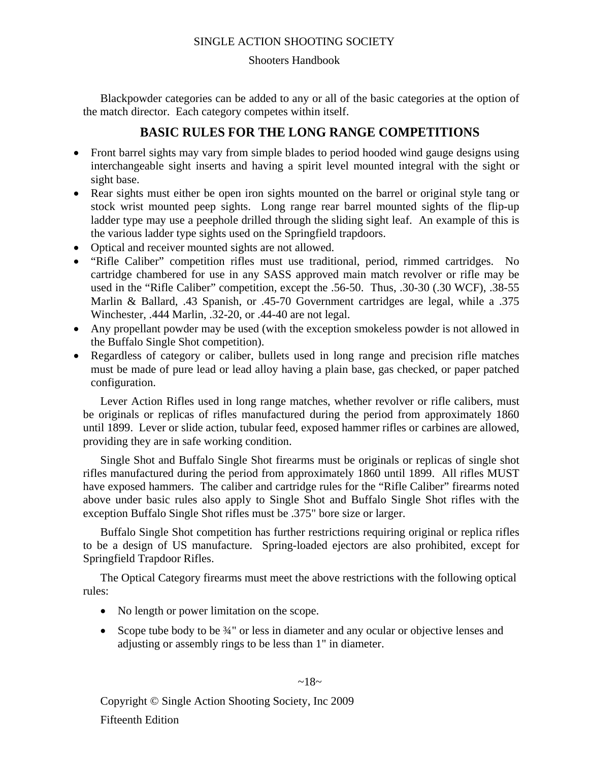#### Shooters Handbook

Blackpowder categories can be added to any or all of the basic categories at the option of the match director. Each category competes within itself.

## **BASIC RULES FOR THE LONG RANGE COMPETITIONS**

- Front barrel sights may vary from simple blades to period hooded wind gauge designs using interchangeable sight inserts and having a spirit level mounted integral with the sight or sight base.
- Rear sights must either be open iron sights mounted on the barrel or original style tang or stock wrist mounted peep sights. Long range rear barrel mounted sights of the flip-up ladder type may use a peephole drilled through the sliding sight leaf. An example of this is the various ladder type sights used on the Springfield trapdoors.
- Optical and receiver mounted sights are not allowed.
- "Rifle Caliber" competition rifles must use traditional, period, rimmed cartridges. No cartridge chambered for use in any SASS approved main match revolver or rifle may be used in the "Rifle Caliber" competition, except the .56-50. Thus, .30-30 (.30 WCF), .38-55 Marlin & Ballard, .43 Spanish, or .45-70 Government cartridges are legal, while a .375 Winchester, .444 Marlin, .32-20, or .44-40 are not legal.
- Any propellant powder may be used (with the exception smokeless powder is not allowed in the Buffalo Single Shot competition).
- Regardless of category or caliber, bullets used in long range and precision rifle matches must be made of pure lead or lead alloy having a plain base, gas checked, or paper patched configuration.

Lever Action Rifles used in long range matches, whether revolver or rifle calibers, must be originals or replicas of rifles manufactured during the period from approximately 1860 until 1899. Lever or slide action, tubular feed, exposed hammer rifles or carbines are allowed, providing they are in safe working condition.

Single Shot and Buffalo Single Shot firearms must be originals or replicas of single shot rifles manufactured during the period from approximately 1860 until 1899. All rifles MUST have exposed hammers. The caliber and cartridge rules for the "Rifle Caliber" firearms noted above under basic rules also apply to Single Shot and Buffalo Single Shot rifles with the exception Buffalo Single Shot rifles must be .375" bore size or larger.

Buffalo Single Shot competition has further restrictions requiring original or replica rifles to be a design of US manufacture. Spring-loaded ejectors are also prohibited, except for Springfield Trapdoor Rifles.

The Optical Category firearms must meet the above restrictions with the following optical rules:

- No length or power limitation on the scope.
- Scope tube body to be 34" or less in diameter and any ocular or objective lenses and adjusting or assembly rings to be less than 1" in diameter.

 $~18~$ 

Copyright © Single Action Shooting Society, Inc 2009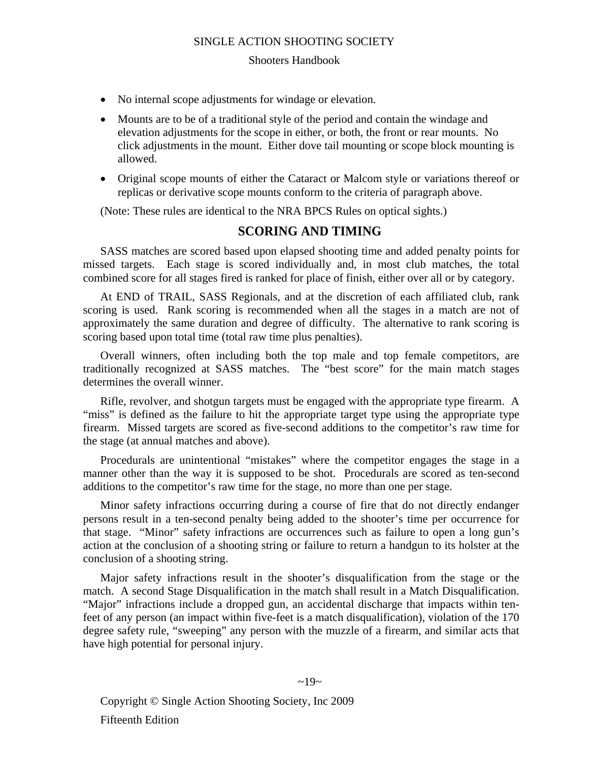#### Shooters Handbook

- No internal scope adjustments for windage or elevation.
- Mounts are to be of a traditional style of the period and contain the windage and elevation adjustments for the scope in either, or both, the front or rear mounts. No click adjustments in the mount. Either dove tail mounting or scope block mounting is allowed.
- Original scope mounts of either the Cataract or Malcom style or variations thereof or replicas or derivative scope mounts conform to the criteria of paragraph above.

(Note: These rules are identical to the NRA BPCS Rules on optical sights.)

#### **SCORING AND TIMING**

SASS matches are scored based upon elapsed shooting time and added penalty points for missed targets. Each stage is scored individually and, in most club matches, the total combined score for all stages fired is ranked for place of finish, either over all or by category.

At END of TRAIL, SASS Regionals, and at the discretion of each affiliated club, rank scoring is used. Rank scoring is recommended when all the stages in a match are not of approximately the same duration and degree of difficulty. The alternative to rank scoring is scoring based upon total time (total raw time plus penalties).

Overall winners, often including both the top male and top female competitors, are traditionally recognized at SASS matches. The "best score" for the main match stages determines the overall winner.

Rifle, revolver, and shotgun targets must be engaged with the appropriate type firearm. A "miss" is defined as the failure to hit the appropriate target type using the appropriate type firearm. Missed targets are scored as five-second additions to the competitor's raw time for the stage (at annual matches and above).

Procedurals are unintentional "mistakes" where the competitor engages the stage in a manner other than the way it is supposed to be shot. Procedurals are scored as ten-second additions to the competitor's raw time for the stage, no more than one per stage.

Minor safety infractions occurring during a course of fire that do not directly endanger persons result in a ten-second penalty being added to the shooter's time per occurrence for that stage. "Minor" safety infractions are occurrences such as failure to open a long gun's action at the conclusion of a shooting string or failure to return a handgun to its holster at the conclusion of a shooting string.

Major safety infractions result in the shooter's disqualification from the stage or the match. A second Stage Disqualification in the match shall result in a Match Disqualification. "Major" infractions include a dropped gun, an accidental discharge that impacts within tenfeet of any person (an impact within five-feet is a match disqualification), violation of the 170 degree safety rule, "sweeping" any person with the muzzle of a firearm, and similar acts that have high potential for personal injury.

 $~19~$ 

Copyright © Single Action Shooting Society, Inc 2009 Fifteenth Edition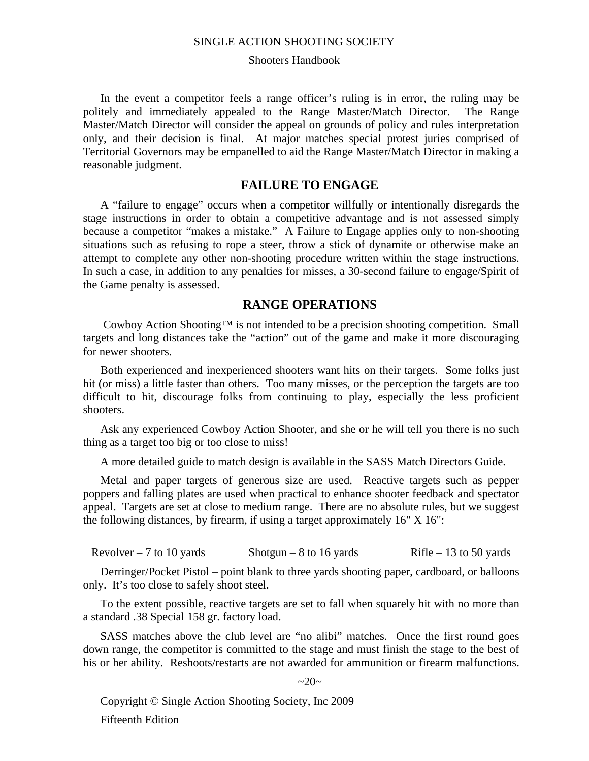#### Shooters Handbook

In the event a competitor feels a range officer's ruling is in error, the ruling may be politely and immediately appealed to the Range Master/Match Director. The Range Master/Match Director will consider the appeal on grounds of policy and rules interpretation only, and their decision is final. At major matches special protest juries comprised of Territorial Governors may be empanelled to aid the Range Master/Match Director in making a reasonable judgment.

#### **FAILURE TO ENGAGE**

A "failure to engage" occurs when a competitor willfully or intentionally disregards the stage instructions in order to obtain a competitive advantage and is not assessed simply because a competitor "makes a mistake." A Failure to Engage applies only to non-shooting situations such as refusing to rope a steer, throw a stick of dynamite or otherwise make an attempt to complete any other non-shooting procedure written within the stage instructions. In such a case, in addition to any penalties for misses, a 30-second failure to engage/Spirit of the Game penalty is assessed.

#### **RANGE OPERATIONS**

 Cowboy Action Shooting™ is not intended to be a precision shooting competition. Small targets and long distances take the "action" out of the game and make it more discouraging for newer shooters.

Both experienced and inexperienced shooters want hits on their targets. Some folks just hit (or miss) a little faster than others. Too many misses, or the perception the targets are too difficult to hit, discourage folks from continuing to play, especially the less proficient shooters.

Ask any experienced Cowboy Action Shooter, and she or he will tell you there is no such thing as a target too big or too close to miss!

A more detailed guide to match design is available in the SASS Match Directors Guide.

Metal and paper targets of generous size are used. Reactive targets such as pepper poppers and falling plates are used when practical to enhance shooter feedback and spectator appeal. Targets are set at close to medium range. There are no absolute rules, but we suggest the following distances, by firearm, if using a target approximately 16" X 16":

Revolver – 7 to 10 yards Shotgun – 8 to 16 yards Rifle – 13 to 50 yards

Derringer/Pocket Pistol – point blank to three yards shooting paper, cardboard, or balloons only. It's too close to safely shoot steel.

To the extent possible, reactive targets are set to fall when squarely hit with no more than a standard .38 Special 158 gr. factory load.

SASS matches above the club level are "no alibi" matches. Once the first round goes down range, the competitor is committed to the stage and must finish the stage to the best of his or her ability. Reshoots/restarts are not awarded for ammunition or firearm malfunctions.

#### $~20~$

Copyright © Single Action Shooting Society, Inc 2009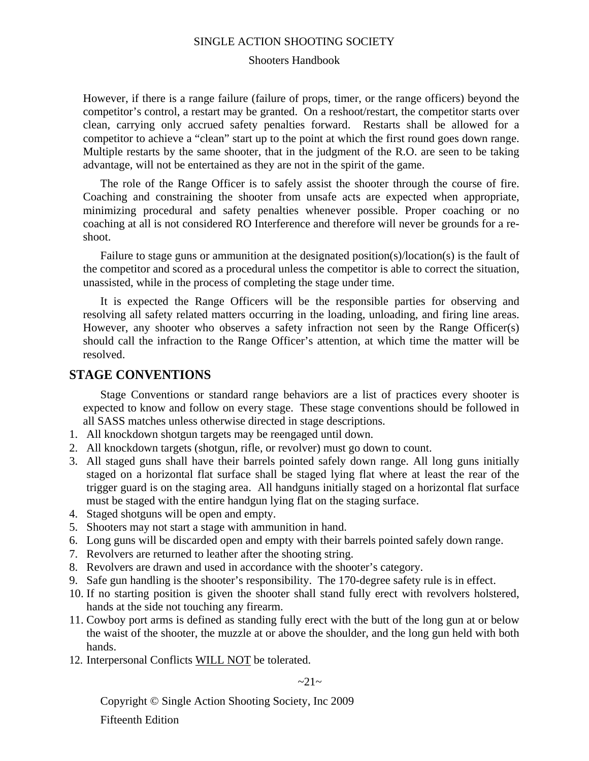#### Shooters Handbook

However, if there is a range failure (failure of props, timer, or the range officers) beyond the competitor's control, a restart may be granted. On a reshoot/restart, the competitor starts over clean, carrying only accrued safety penalties forward. Restarts shall be allowed for a competitor to achieve a "clean" start up to the point at which the first round goes down range. Multiple restarts by the same shooter, that in the judgment of the R.O. are seen to be taking advantage, will not be entertained as they are not in the spirit of the game.

The role of the Range Officer is to safely assist the shooter through the course of fire. Coaching and constraining the shooter from unsafe acts are expected when appropriate, minimizing procedural and safety penalties whenever possible. Proper coaching or no coaching at all is not considered RO Interference and therefore will never be grounds for a reshoot.

Failure to stage guns or ammunition at the designated position(s)/location(s) is the fault of the competitor and scored as a procedural unless the competitor is able to correct the situation, unassisted, while in the process of completing the stage under time.

It is expected the Range Officers will be the responsible parties for observing and resolving all safety related matters occurring in the loading, unloading, and firing line areas. However, any shooter who observes a safety infraction not seen by the Range Officer(s) should call the infraction to the Range Officer's attention, at which time the matter will be resolved.

#### **STAGE CONVENTIONS**

Stage Conventions or standard range behaviors are a list of practices every shooter is expected to know and follow on every stage. These stage conventions should be followed in all SASS matches unless otherwise directed in stage descriptions.

- 1. All knockdown shotgun targets may be reengaged until down.
- 2. All knockdown targets (shotgun, rifle, or revolver) must go down to count.
- 3. All staged guns shall have their barrels pointed safely down range. All long guns initially staged on a horizontal flat surface shall be staged lying flat where at least the rear of the trigger guard is on the staging area. All handguns initially staged on a horizontal flat surface must be staged with the entire handgun lying flat on the staging surface.
- 4. Staged shotguns will be open and empty.
- 5. Shooters may not start a stage with ammunition in hand.
- 6. Long guns will be discarded open and empty with their barrels pointed safely down range.
- 7. Revolvers are returned to leather after the shooting string.
- 8. Revolvers are drawn and used in accordance with the shooter's category.
- 9. Safe gun handling is the shooter's responsibility. The 170-degree safety rule is in effect.
- 10. If no starting position is given the shooter shall stand fully erect with revolvers holstered, hands at the side not touching any firearm.
- 11. Cowboy port arms is defined as standing fully erect with the butt of the long gun at or below the waist of the shooter, the muzzle at or above the shoulder, and the long gun held with both hands.
- 12. Interpersonal Conflicts WILL NOT be tolerated.

 $\sim$ 21 $\sim$ 

Copyright © Single Action Shooting Society, Inc 2009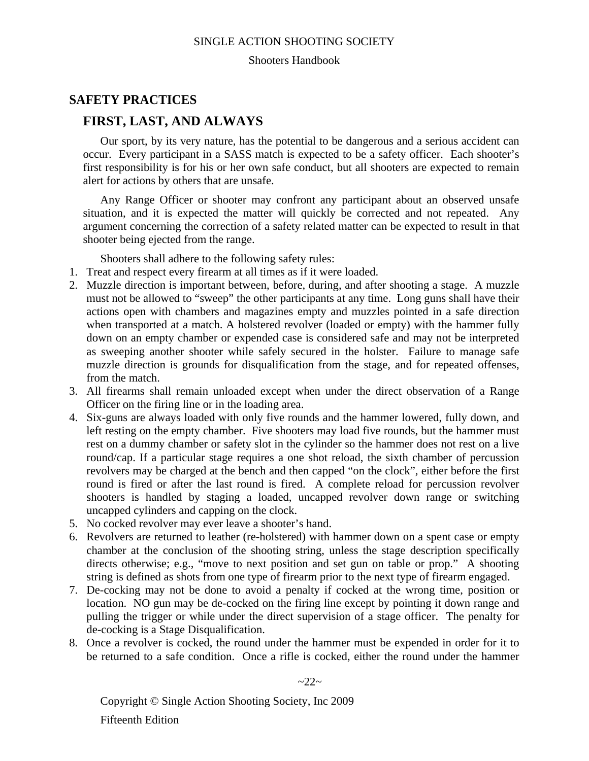#### Shooters Handbook

## **SAFETY PRACTICES**

## **FIRST, LAST, AND ALWAYS**

Our sport, by its very nature, has the potential to be dangerous and a serious accident can occur. Every participant in a SASS match is expected to be a safety officer. Each shooter's first responsibility is for his or her own safe conduct, but all shooters are expected to remain alert for actions by others that are unsafe.

Any Range Officer or shooter may confront any participant about an observed unsafe situation, and it is expected the matter will quickly be corrected and not repeated. Any argument concerning the correction of a safety related matter can be expected to result in that shooter being ejected from the range.

Shooters shall adhere to the following safety rules:

- 1. Treat and respect every firearm at all times as if it were loaded.
- 2. Muzzle direction is important between, before, during, and after shooting a stage. A muzzle must not be allowed to "sweep" the other participants at any time. Long guns shall have their actions open with chambers and magazines empty and muzzles pointed in a safe direction when transported at a match. A holstered revolver (loaded or empty) with the hammer fully down on an empty chamber or expended case is considered safe and may not be interpreted as sweeping another shooter while safely secured in the holster. Failure to manage safe muzzle direction is grounds for disqualification from the stage, and for repeated offenses, from the match.
- 3. All firearms shall remain unloaded except when under the direct observation of a Range Officer on the firing line or in the loading area.
- 4. Six-guns are always loaded with only five rounds and the hammer lowered, fully down, and left resting on the empty chamber. Five shooters may load five rounds, but the hammer must rest on a dummy chamber or safety slot in the cylinder so the hammer does not rest on a live round/cap. If a particular stage requires a one shot reload, the sixth chamber of percussion revolvers may be charged at the bench and then capped "on the clock", either before the first round is fired or after the last round is fired. A complete reload for percussion revolver shooters is handled by staging a loaded, uncapped revolver down range or switching uncapped cylinders and capping on the clock.
- 5. No cocked revolver may ever leave a shooter's hand.
- 6. Revolvers are returned to leather (re-holstered) with hammer down on a spent case or empty chamber at the conclusion of the shooting string, unless the stage description specifically directs otherwise; e.g., "move to next position and set gun on table or prop." A shooting string is defined as shots from one type of firearm prior to the next type of firearm engaged.
- 7. De-cocking may not be done to avoid a penalty if cocked at the wrong time, position or location. NO gun may be de-cocked on the firing line except by pointing it down range and pulling the trigger or while under the direct supervision of a stage officer. The penalty for de-cocking is a Stage Disqualification.
- 8. Once a revolver is cocked, the round under the hammer must be expended in order for it to be returned to a safe condition. Once a rifle is cocked, either the round under the hammer

 $\sim$ 22 $\sim$ 

Copyright © Single Action Shooting Society, Inc 2009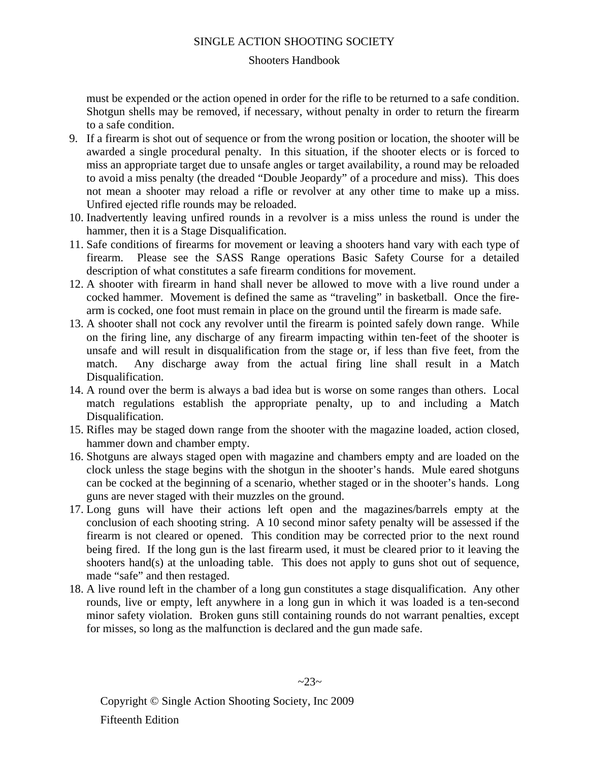#### Shooters Handbook

must be expended or the action opened in order for the rifle to be returned to a safe condition. Shotgun shells may be removed, if necessary, without penalty in order to return the firearm to a safe condition.

- 9. If a firearm is shot out of sequence or from the wrong position or location, the shooter will be awarded a single procedural penalty. In this situation, if the shooter elects or is forced to miss an appropriate target due to unsafe angles or target availability, a round may be reloaded to avoid a miss penalty (the dreaded "Double Jeopardy" of a procedure and miss). This does not mean a shooter may reload a rifle or revolver at any other time to make up a miss. Unfired ejected rifle rounds may be reloaded.
- 10. Inadvertently leaving unfired rounds in a revolver is a miss unless the round is under the hammer, then it is a Stage Disqualification.
- 11. Safe conditions of firearms for movement or leaving a shooters hand vary with each type of firearm. Please see the SASS Range operations Basic Safety Course for a detailed description of what constitutes a safe firearm conditions for movement.
- 12. A shooter with firearm in hand shall never be allowed to move with a live round under a cocked hammer. Movement is defined the same as "traveling" in basketball. Once the firearm is cocked, one foot must remain in place on the ground until the firearm is made safe.
- 13. A shooter shall not cock any revolver until the firearm is pointed safely down range. While on the firing line, any discharge of any firearm impacting within ten-feet of the shooter is unsafe and will result in disqualification from the stage or, if less than five feet, from the match. Any discharge away from the actual firing line shall result in a Match Disqualification.
- 14. A round over the berm is always a bad idea but is worse on some ranges than others. Local match regulations establish the appropriate penalty, up to and including a Match Disqualification.
- 15. Rifles may be staged down range from the shooter with the magazine loaded, action closed, hammer down and chamber empty.
- 16. Shotguns are always staged open with magazine and chambers empty and are loaded on the clock unless the stage begins with the shotgun in the shooter's hands. Mule eared shotguns can be cocked at the beginning of a scenario, whether staged or in the shooter's hands. Long guns are never staged with their muzzles on the ground.
- 17. Long guns will have their actions left open and the magazines/barrels empty at the conclusion of each shooting string. A 10 second minor safety penalty will be assessed if the firearm is not cleared or opened. This condition may be corrected prior to the next round being fired. If the long gun is the last firearm used, it must be cleared prior to it leaving the shooters hand(s) at the unloading table. This does not apply to guns shot out of sequence, made "safe" and then restaged.
- 18. A live round left in the chamber of a long gun constitutes a stage disqualification. Any other rounds, live or empty, left anywhere in a long gun in which it was loaded is a ten-second minor safety violation. Broken guns still containing rounds do not warrant penalties, except for misses, so long as the malfunction is declared and the gun made safe.

 $-23-$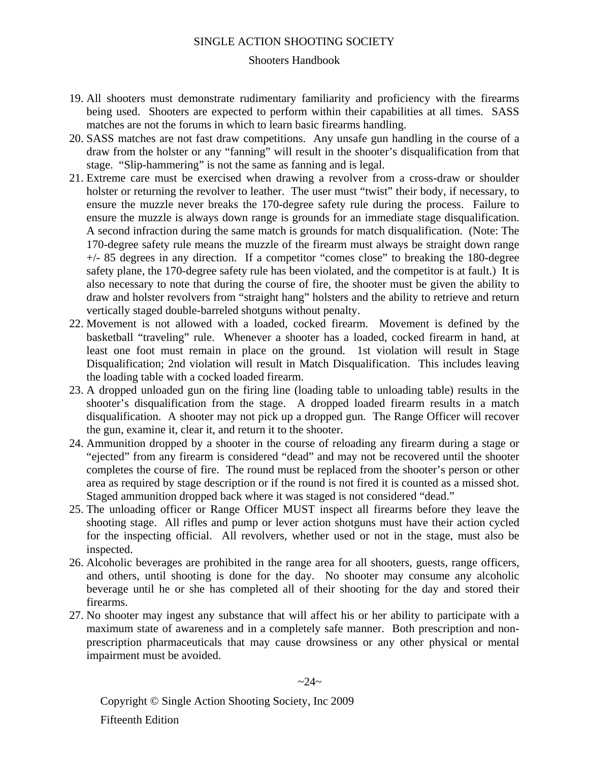#### Shooters Handbook

- 19. All shooters must demonstrate rudimentary familiarity and proficiency with the firearms being used. Shooters are expected to perform within their capabilities at all times. SASS matches are not the forums in which to learn basic firearms handling.
- 20. SASS matches are not fast draw competitions. Any unsafe gun handling in the course of a draw from the holster or any "fanning" will result in the shooter's disqualification from that stage. "Slip-hammering" is not the same as fanning and is legal.
- 21. Extreme care must be exercised when drawing a revolver from a cross-draw or shoulder holster or returning the revolver to leather. The user must "twist" their body, if necessary, to ensure the muzzle never breaks the 170-degree safety rule during the process. Failure to ensure the muzzle is always down range is grounds for an immediate stage disqualification. A second infraction during the same match is grounds for match disqualification. (Note: The 170-degree safety rule means the muzzle of the firearm must always be straight down range +/- 85 degrees in any direction. If a competitor "comes close" to breaking the 180-degree safety plane, the 170-degree safety rule has been violated, and the competitor is at fault.) It is also necessary to note that during the course of fire, the shooter must be given the ability to draw and holster revolvers from "straight hang" holsters and the ability to retrieve and return vertically staged double-barreled shotguns without penalty.
- 22. Movement is not allowed with a loaded, cocked firearm. Movement is defined by the basketball "traveling" rule. Whenever a shooter has a loaded, cocked firearm in hand, at least one foot must remain in place on the ground. 1st violation will result in Stage Disqualification; 2nd violation will result in Match Disqualification. This includes leaving the loading table with a cocked loaded firearm.
- 23. A dropped unloaded gun on the firing line (loading table to unloading table) results in the shooter's disqualification from the stage. A dropped loaded firearm results in a match disqualification. A shooter may not pick up a dropped gun. The Range Officer will recover the gun, examine it, clear it, and return it to the shooter.
- 24. Ammunition dropped by a shooter in the course of reloading any firearm during a stage or "ejected" from any firearm is considered "dead" and may not be recovered until the shooter completes the course of fire. The round must be replaced from the shooter's person or other area as required by stage description or if the round is not fired it is counted as a missed shot. Staged ammunition dropped back where it was staged is not considered "dead."
- 25. The unloading officer or Range Officer MUST inspect all firearms before they leave the shooting stage. All rifles and pump or lever action shotguns must have their action cycled for the inspecting official. All revolvers, whether used or not in the stage, must also be inspected.
- 26. Alcoholic beverages are prohibited in the range area for all shooters, guests, range officers, and others, until shooting is done for the day. No shooter may consume any alcoholic beverage until he or she has completed all of their shooting for the day and stored their firearms.
- 27. No shooter may ingest any substance that will affect his or her ability to participate with a maximum state of awareness and in a completely safe manner. Both prescription and nonprescription pharmaceuticals that may cause drowsiness or any other physical or mental impairment must be avoided.

 $~24~$ 

Copyright © Single Action Shooting Society, Inc 2009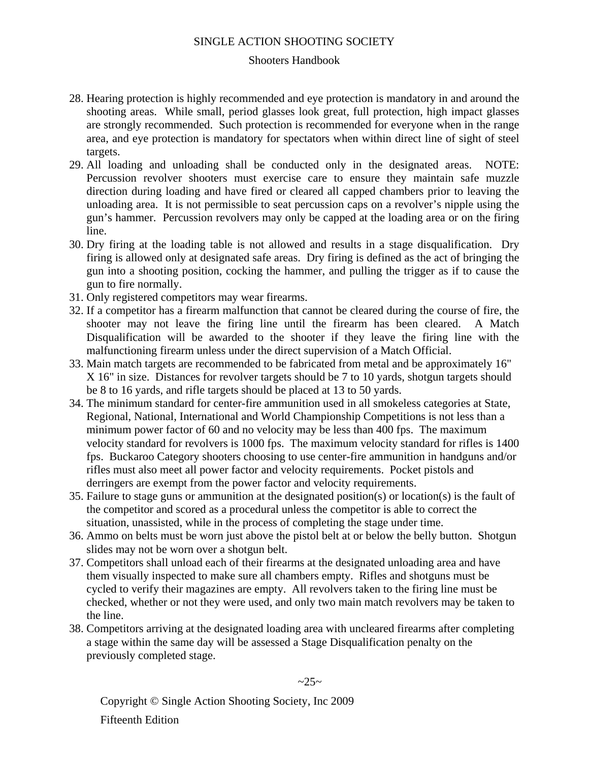#### Shooters Handbook

- 28. Hearing protection is highly recommended and eye protection is mandatory in and around the shooting areas. While small, period glasses look great, full protection, high impact glasses are strongly recommended. Such protection is recommended for everyone when in the range area, and eye protection is mandatory for spectators when within direct line of sight of steel targets.
- 29. All loading and unloading shall be conducted only in the designated areas. NOTE: Percussion revolver shooters must exercise care to ensure they maintain safe muzzle direction during loading and have fired or cleared all capped chambers prior to leaving the unloading area. It is not permissible to seat percussion caps on a revolver's nipple using the gun's hammer. Percussion revolvers may only be capped at the loading area or on the firing line.
- 30. Dry firing at the loading table is not allowed and results in a stage disqualification. Dry firing is allowed only at designated safe areas. Dry firing is defined as the act of bringing the gun into a shooting position, cocking the hammer, and pulling the trigger as if to cause the gun to fire normally.
- 31. Only registered competitors may wear firearms.
- 32. If a competitor has a firearm malfunction that cannot be cleared during the course of fire, the shooter may not leave the firing line until the firearm has been cleared. A Match Disqualification will be awarded to the shooter if they leave the firing line with the malfunctioning firearm unless under the direct supervision of a Match Official.
- 33. Main match targets are recommended to be fabricated from metal and be approximately 16" X 16" in size. Distances for revolver targets should be 7 to 10 yards, shotgun targets should be 8 to 16 yards, and rifle targets should be placed at 13 to 50 yards.
- 34. The minimum standard for center-fire ammunition used in all smokeless categories at State, Regional, National, International and World Championship Competitions is not less than a minimum power factor of 60 and no velocity may be less than 400 fps. The maximum velocity standard for revolvers is 1000 fps. The maximum velocity standard for rifles is 1400 fps. Buckaroo Category shooters choosing to use center-fire ammunition in handguns and/or rifles must also meet all power factor and velocity requirements. Pocket pistols and derringers are exempt from the power factor and velocity requirements.
- 35. Failure to stage guns or ammunition at the designated position(s) or location(s) is the fault of the competitor and scored as a procedural unless the competitor is able to correct the situation, unassisted, while in the process of completing the stage under time.
- 36. Ammo on belts must be worn just above the pistol belt at or below the belly button. Shotgun slides may not be worn over a shotgun belt.
- 37. Competitors shall unload each of their firearms at the designated unloading area and have them visually inspected to make sure all chambers empty. Rifles and shotguns must be cycled to verify their magazines are empty. All revolvers taken to the firing line must be checked, whether or not they were used, and only two main match revolvers may be taken to the line.
- 38. Competitors arriving at the designated loading area with uncleared firearms after completing a stage within the same day will be assessed a Stage Disqualification penalty on the previously completed stage.

 $~25~$ 

Copyright © Single Action Shooting Society, Inc 2009